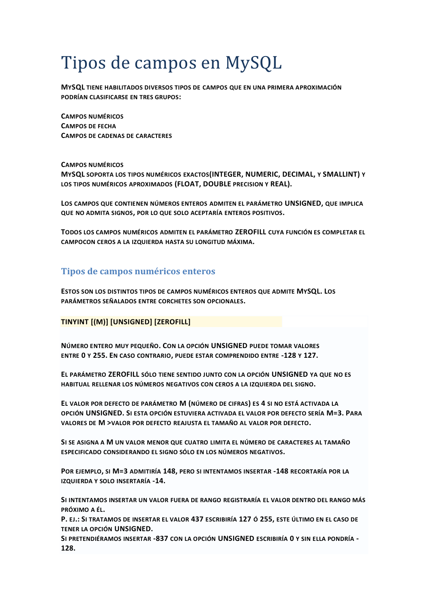# Tipos de campos en MySQL

**MYSQL TIENE HABILITADOS DIVERSOS TIPOS DE CAMPOS QUE EN UNA PRIMERA APROXIMACIÓN PODRÍAN CLASIFICARSE EN TRES GRUPOS:**

**CAMPOS NUMÉRICOS CAMPOS DE FECHA CAMPOS DE CADENAS DE CARACTERES**

**CAMPOS NUMÉRICOS MYSQL SOPORTA LOS TIPOS NUMÉRICOS EXACTOS(INTEGER, NUMERIC, DECIMAL, Y SMALLINT) Y LOS TIPOS NUMÉRICOS APROXIMADOS (FLOAT, DOUBLE PRECISION Y REAL).**

**LOS CAMPOS QUE CONTIENEN NÚMEROS ENTEROS ADMITEN EL PARÁMETRO UNSIGNED, QUE IMPLICA QUE NO ADMITA SIGNOS, POR LO QUE SOLO ACEPTARÍA ENTEROS POSITIVOS.**

**TODOS LOS CAMPOS NUMÉRICOS ADMITEN EL PARÁMETRO ZEROFILL CUYA FUNCIÓN ES COMPLETAR EL CAMPOCON CEROS A LA IZQUIERDA HASTA SU LONGITUD MÁXIMA.**

# **Tipos de campos numéricos enteros**

**ESTOS SON LOS DISTINTOS TIPOS DE CAMPOS NUMÉRICOS ENTEROS QUE ADMITE MYSQL. LOS PARÁMETROS SEÑALADOS ENTRE CORCHETES SON OPCIONALES.**

## **TINYINT [(M)] [UNSIGNED] [ZEROFILL]**

**NÚMERO ENTERO MUY PEQUEÑO. CON LA OPCIÓN UNSIGNED PUEDE TOMAR VALORES ENTRE 0 Y 255. EN CASO CONTRARIO, PUEDE ESTAR COMPRENDIDO ENTRE -128 Y 127.**

**EL PARÁMETRO ZEROFILL SÓLO TIENE SENTIDO JUNTO CON LA OPCIÓN UNSIGNED YA QUE NO ES HABITUAL RELLENAR LOS NÚMEROS NEGATIVOS CON CEROS A LA IZQUIERDA DEL SIGNO.**

**EL VALOR POR DEFECTO DE PARÁMETRO M (NÚMERO DE CIFRAS) ES 4 SI NO ESTÁ ACTIVADA LA OPCIÓN UNSIGNED. SI ESTA OPCIÓN ESTUVIERA ACTIVADA EL VALOR POR DEFECTO SERÍA M=3. PARA VALORES DE M >VALOR POR DEFECTO REAJUSTA EL TAMAÑO AL VALOR POR DEFECTO.**

**SI SE ASIGNA A M UN VALOR MENOR QUE CUATRO LIMITA EL NÚMERO DE CARACTERES AL TAMAÑO ESPECIFICADO CONSIDERANDO EL SIGNO SÓLO EN LOS NÚMEROS NEGATIVOS.**

**POR EJEMPLO, SI M=3 ADMITIRÍA 148, PERO SI INTENTAMOS INSERTAR -148 RECORTARÍA POR LA IZQUIERDA Y SOLO INSERTARÍA -14.**

**SI INTENTAMOS INSERTAR UN VALOR FUERA DE RANGO REGISTRARÍA EL VALOR DENTRO DEL RANGO MÁS PRÓXIMO A ÉL.**

**P. EJ.: SI TRATAMOS DE INSERTAR EL VALOR 437 ESCRIBIRÍA 127 Ó 255, ESTE ÚLTIMO EN EL CASO DE TENER LA OPCIÓN UNSIGNED.**

**SI PRETENDIÉRAMOS INSERTAR -837 CON LA OPCIÓN UNSIGNED ESCRIBIRÍA 0 Y SIN ELLA PONDRÍA - 128.**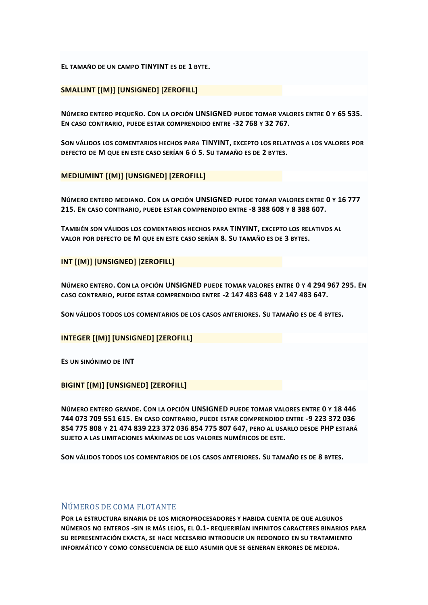**EL TAMAÑO DE UN CAMPO TINYINT ES DE 1 BYTE.**

## **SMALLINT [(M)] [UNSIGNED] [ZEROFILL]**

**NÚMERO ENTERO PEQUEÑO. CON LA OPCIÓN UNSIGNED PUEDE TOMAR VALORES ENTRE 0 Y 65 535. EN CASO CONTRARIO, PUEDE ESTAR COMPRENDIDO ENTRE -32 768 Y 32 767.**

**SON VÁLIDOS LOS COMENTARIOS HECHOS PARA TINYINT, EXCEPTO LOS RELATIVOS A LOS VALORES POR DEFECTO DE M QUE EN ESTE CASO SERÍAN 6 Ó 5. SU TAMAÑO ES DE 2 BYTES.**

**MEDIUMINT [(M)] [UNSIGNED] [ZEROFILL]**

**NÚMERO ENTERO MEDIANO. CON LA OPCIÓN UNSIGNED PUEDE TOMAR VALORES ENTRE 0 Y 16 777 215. EN CASO CONTRARIO, PUEDE ESTAR COMPRENDIDO ENTRE -8 388 608 Y 8 388 607.**

**TAMBIÉN SON VÁLIDOS LOS COMENTARIOS HECHOS PARA TINYINT, EXCEPTO LOS RELATIVOS AL VALOR POR DEFECTO DE M QUE EN ESTE CASO SERÍAN 8. SU TAMAÑO ES DE 3 BYTES.**

**INT [(M)] [UNSIGNED] [ZEROFILL]**

**NÚMERO ENTERO. CON LA OPCIÓN UNSIGNED PUEDE TOMAR VALORES ENTRE 0 Y 4 294 967 295. EN CASO CONTRARIO, PUEDE ESTAR COMPRENDIDO ENTRE -2 147 483 648 Y 2 147 483 647.**

**SON VÁLIDOS TODOS LOS COMENTARIOS DE LOS CASOS ANTERIORES. SU TAMAÑO ES DE 4 BYTES.**

**INTEGER [(M)] [UNSIGNED] [ZEROFILL]**

**ES UN SINÓNIMO DE INT**

**BIGINT [(M)] [UNSIGNED] [ZEROFILL]**

**NÚMERO ENTERO GRANDE. CON LA OPCIÓN UNSIGNED PUEDE TOMAR VALORES ENTRE 0 Y 18 446 744 073 709 551 615. EN CASO CONTRARIO, PUEDE ESTAR COMPRENDIDO ENTRE -9 223 372 036 854 775 808 Y 21 474 839 223 372 036 854 775 807 647, PERO AL USARLO DESDE PHP ESTARÁ SUJETO A LAS LIMITACIONES MÁXIMAS DE LOS VALORES NUMÉRICOS DE ESTE.**

**SON VÁLIDOS TODOS LOS COMENTARIOS DE LOS CASOS ANTERIORES. SU TAMAÑO ES DE 8 BYTES.**

# NÚMEROS DE COMA FLOTANTE

**POR LA ESTRUCTURA BINARIA DE LOS MICROPROCESADORES Y HABIDA CUENTA DE QUE ALGUNOS NÚMEROS NO ENTEROS -SIN IR MÁS LEJOS, EL 0.1- REQUERIRÍAN INFINITOS CARACTERES BINARIOS PARA SU REPRESENTACIÓN EXACTA, SE HACE NECESARIO INTRODUCIR UN REDONDEO EN SU TRATAMIENTO INFORMÁTICO Y COMO CONSECUENCIA DE ELLO ASUMIR QUE SE GENERAN ERRORES DE MEDIDA.**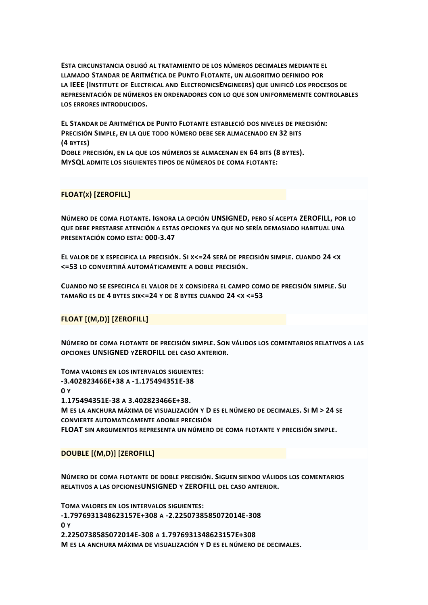ESTA CIRCUNSTANCIA OBLIGÓ AL TRATAMIENTO DE LOS NÚMEROS DECIMALES MEDIANTE EL LLAMADO STANDAR DE ARITMÉTICA DE PUNTO FLOTANTE, UN ALGORITMO DEFINIDO POR LA IEEE (INSTITUTE OF ELECTRICAL AND ELECTRONICSENGINEERS) QUE UNIFICÓ LOS PROCESOS DE REPRESENTACIÓN DE NÚMEROS EN ORDENADORES CON LO QUE SON UNIFORMEMENTE CONTROLABLES LOS ERRORES INTRODUCIDOS.

EL STANDAR DE ARITMÉTICA DE PUNTO FLOTANTE ESTABLECIÓ DOS NIVELES DE PRECISIÓN: PRECISIÓN SIMPLE, EN LA QUE TODO NÚMERO DEBE SER ALMACENADO EN 32 BITS (4 BYTES) DOBLE PRECISIÓN, EN LA QUE LOS NÚMEROS SE ALMACENAN EN 64 BITS (8 BYTES). MYSQL ADMITE LOS SIGUIENTES TIPOS DE NÚMEROS DE COMA FLOTANTE:

**FLOAT(x) [ZEROFILL]** 

NÚMERO DE COMA FLOTANTE. IGNORA LA OPCIÓN UNSIGNED, PERO SÍ ACEPTA ZEROFILL, POR LO QUE DEBE PRESTARSE ATENCIÓN A ESTAS OPCIONES YA QUE NO SERÍA DEMASIADO HABITUAL UNA PRESENTACIÓN COMO ESTA: 000-3.47

EL VALOR DE X ESPECIFICA LA PRECISIÓN. SI X<=24 SERÁ DE PRECISIÓN SIMPLE. CUANDO 24 <X <= 53 LO CONVERTIRÁ AUTOMÁTICAMENTE A DOBLE PRECISIÓN.

CUANDO NO SE ESPECIFICA EL VALOR DE X CONSIDERA EL CAMPO COMO DE PRECISIÓN SIMPLE. SU TAMAÑO ES DE 4 BYTES SIX<=24 Y DE 8 BYTES CUANDO 24 < X <= 53

**FLOAT [(M,D)] [ZEROFILL]** 

NÚMERO DE COMA FLOTANTE DE PRECISIÓN SIMPLE. SON VÁLIDOS LOS COMENTARIOS RELATIVOS A LAS OPCIONES UNSIGNED YZEROFILL DEL CASO ANTERIOR.

TOMA VALORES EN LOS INTERVALOS SIGUIENTES: -3.402823466E+38 A-1.175494351E-38  $\mathbf{0} \times$ 1.175494351E-38 A 3.402823466E+38. M ES LA ANCHURA MÁXIMA DE VISUALIZACIÓN Y D ES EL NÚMERO DE DECIMALES. SI M > 24 SE **CONVIERTE AUTOMATICAMENTE ADOBLE PRECISIÓN** FLOAT SIN ARGUMENTOS REPRESENTA UN NÚMERO DE COMA FLOTANTE Y PRECISIÓN SIMPLE.

## DOUBLE [(M,D)] [ZEROFILL]

NÚMERO DE COMA FLOTANTE DE DOBLE PRECISIÓN. SIGUEN SIENDO VÁLIDOS LOS COMENTARIOS RELATIVOS A LAS OPCIONESUNSIGNED Y ZEROFILL DEL CASO ANTERIOR.

TOMA VALORES EN LOS INTERVALOS SIGUIENTES: -1.7976931348623157E+308 A -2.2250738585072014E-308 0 v 2.2250738585072014E-308 A 1.7976931348623157E+308 M ES LA ANCHURA MÁXIMA DE VISUALIZACIÓN Y D ES EL NÚMERO DE DECIMALES.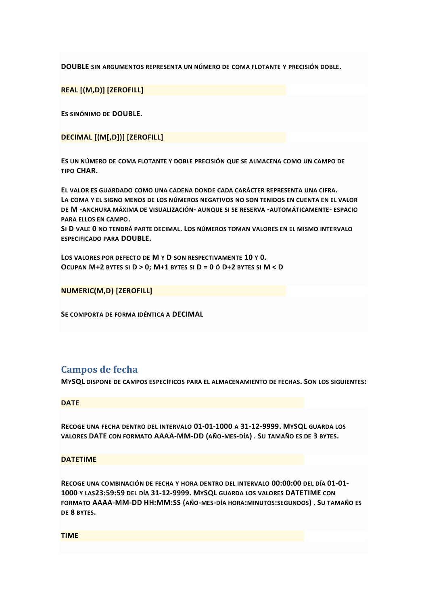**DOUBLE SIN ARGUMENTOS REPRESENTA UN NÚMERO DE COMA FLOTANTE Y PRECISIÓN DOBLE.**

**REAL [(M,D)] [ZEROFILL]**

**ES SINÓNIMO DE DOUBLE.**

**DECIMAL [(M[,D])] [ZEROFILL]**

**ES UN NÚMERO DE COMA FLOTANTE Y DOBLE PRECISIÓN QUE SE ALMACENA COMO UN CAMPO DE TIPO CHAR.**

**EL VALOR ES GUARDADO COMO UNA CADENA DONDE CADA CARÁCTER REPRESENTA UNA CIFRA. LA COMA Y EL SIGNO MENOS DE LOS NÚMEROS NEGATIVOS NO SON TENIDOS EN CUENTA EN EL VALOR DE M -ANCHURA MÁXIMA DE VISUALIZACIÓN- AUNQUE SI SE RESERVA -AUTOMÁTICAMENTE- ESPACIO PARA ELLOS EN CAMPO.**

**SI D VALE 0 NO TENDRÁ PARTE DECIMAL. LOS NÚMEROS TOMAN VALORES EN EL MISMO INTERVALO ESPECIFICADO PARA DOUBLE.**

**LOS VALORES POR DEFECTO DE M Y D SON RESPECTIVAMENTE 10 Y 0. OCUPAN M+2 BYTES SI D > 0; M+1 BYTES SI D = 0 Ó D+2 BYTES SI M < D**

**NUMERIC(M,D) [ZEROFILL]**

**SE COMPORTA DE FORMA IDÉNTICA A DECIMAL**

# **Campos de fecha**

**MYSQL DISPONE DE CAMPOS ESPECÍFICOS PARA EL ALMACENAMIENTO DE FECHAS. SON LOS SIGUIENTES:**

**DATE**

**RECOGE UNA FECHA DENTRO DEL INTERVALO 01-01-1000 A 31-12-9999. MYSQL GUARDA LOS VALORES DATE CON FORMATO AAAA-MM-DD (AÑO-MES-DÍA) . SU TAMAÑO ES DE 3 BYTES.**

#### **DATETIME**

**RECOGE UNA COMBINACIÓN DE FECHA Y HORA DENTRO DEL INTERVALO 00:00:00 DEL DÍA 01-01- 1000 Y LAS23:59:59 DEL DÍA 31-12-9999. MYSQL GUARDA LOS VALORES DATETIME CON FORMATO AAAA-MM-DD HH:MM:SS (AÑO-MES-DÍA HORA:MINUTOS:SEGUNDOS) . SU TAMAÑO ES DE 8 BYTES.**

**TIME**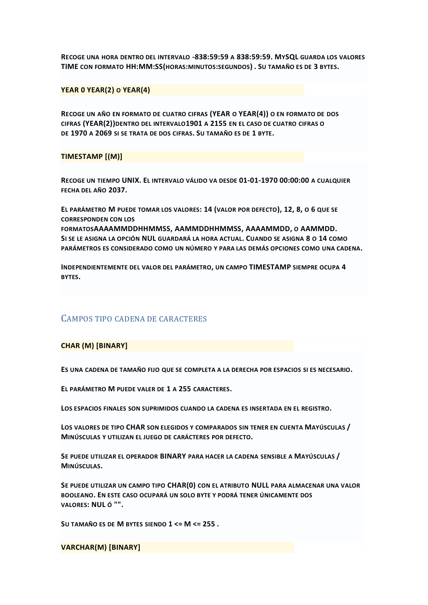**RECOGE UNA HORA DENTRO DEL INTERVALO -838:59:59 A 838:59:59. MYSQL GUARDA LOS VALORES TIME CON FORMATO HH:MM:SS(HORAS:MINUTOS:SEGUNDOS) . SU TAMAÑO ES DE 3 BYTES.**

## **YEAR 0 YEAR(2) O YEAR(4)**

**RECOGE UN AÑO EN FORMATO DE CUATRO CIFRAS (YEAR O YEAR(4)) O EN FORMATO DE DOS CIFRAS (YEAR(2))DENTRO DEL INTERVALO1901 A 2155 EN EL CASO DE CUATRO CIFRAS O DE 1970 A 2069 SI SE TRATA DE DOS CIFRAS. SU TAMAÑO ES DE 1 BYTE.**

### **TIMESTAMP [(M)]**

**RECOGE UN TIEMPO UNIX. EL INTERVALO VÁLIDO VA DESDE 01-01-1970 00:00:00 A CUALQUIER FECHA DEL AÑO 2037.**

**EL PARÁMETRO M PUEDE TOMAR LOS VALORES: 14 (VALOR POR DEFECTO), 12, 8, O 6 QUE SE CORRESPONDEN CON LOS**

**FORMATOSAAAAMMDDHHMMSS, AAMMDDHHMMSS, AAAAMMDD, O AAMMDD. SI SE LE ASIGNA LA OPCIÓN NUL GUARDARÁ LA HORA ACTUAL. CUANDO SE ASIGNA 8 O 14 COMO PARÁMETROS ES CONSIDERADO COMO UN NÚMERO Y PARA LAS DEMÁS OPCIONES COMO UNA CADENA.**

**INDEPENDIENTEMENTE DEL VALOR DEL PARÁMETRO, UN CAMPO TIMESTAMP SIEMPRE OCUPA 4 BYTES.**

## CAMPOS TIPO CADENA DE CARACTERES

#### **CHAR (M) [BINARY]**

**ES UNA CADENA DE TAMAÑO FIJO QUE SE COMPLETA A LA DERECHA POR ESPACIOS SI ES NECESARIO.**

**EL PARÁMETRO M PUEDE VALER DE 1 A 255 CARACTERES.**

**LOS ESPACIOS FINALES SON SUPRIMIDOS CUANDO LA CADENA ES INSERTADA EN EL REGISTRO.**

**LOS VALORES DE TIPO CHAR SON ELEGIDOS Y COMPARADOS SIN TENER EN CUENTA MAYÚSCULAS / MINÚSCULAS Y UTILIZAN EL JUEGO DE CARÁCTERES POR DEFECTO.**

**SE PUEDE UTILIZAR EL OPERADOR BINARY PARA HACER LA CADENA SENSIBLE A MAYÚSCULAS / MINÚSCULAS.**

**SE PUEDE UTILIZAR UN CAMPO TIPO CHAR(0) CON EL ATRIBUTO NULL PARA ALMACENAR UNA VALOR BOOLEANO. EN ESTE CASO OCUPARÁ UN SOLO BYTE Y PODRÁ TENER ÚNICAMENTE DOS VALORES: NUL Ó "".**

**SU TAMAÑO ES DE M BYTES SIENDO 1 <= M <= 255 .**

**VARCHAR(M) [BINARY]**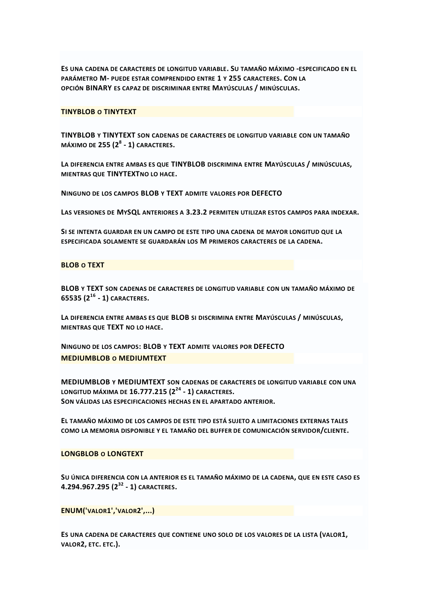**ES UNA CADENA DE CARACTERES DE LONGITUD VARIABLE. SU TAMAÑO MÁXIMO -ESPECIFICADO EN EL PARÁMETRO M- PUEDE ESTAR COMPRENDIDO ENTRE 1 Y 255 CARACTERES. CON LA OPCIÓN BINARY ES CAPAZ DE DISCRIMINAR ENTRE MAYÚSCULAS / MINÚSCULAS.**

#### **TINYBLOB O TINYTEXT**

**TINYBLOB Y TINYTEXT SON CADENAS DE CARACTERES DE LONGITUD VARIABLE CON UN TAMAÑO MÁXIMO DE 255 (2<sup>8</sup> - 1) CARACTERES.**

**LA DIFERENCIA ENTRE AMBAS ES QUE TINYBLOB DISCRIMINA ENTRE MAYÚSCULAS / MINÚSCULAS, MIENTRAS QUE TINYTEXTNO LO HACE.**

**NINGUNO DE LOS CAMPOS BLOB Y TEXT ADMITE VALORES POR DEFECTO**

**LAS VERSIONES DE MYSQL ANTERIORES A 3.23.2 PERMITEN UTILIZAR ESTOS CAMPOS PARA INDEXAR.**

**SI SE INTENTA GUARDAR EN UN CAMPO DE ESTE TIPO UNA CADENA DE MAYOR LONGITUD QUE LA ESPECIFICADA SOLAMENTE SE GUARDARÁN LOS M PRIMEROS CARACTERES DE LA CADENA.**

#### **BLOB O TEXT**

**BLOB Y TEXT SON CADENAS DE CARACTERES DE LONGITUD VARIABLE CON UN TAMAÑO MÁXIMO DE 65535 (2<sup>16</sup> - 1) CARACTERES.**

**LA DIFERENCIA ENTRE AMBAS ES QUE BLOB SI DISCRIMINA ENTRE MAYÚSCULAS / MINÚSCULAS, MIENTRAS QUE TEXT NO LO HACE.**

**NINGUNO DE LOS CAMPOS: BLOB Y TEXT ADMITE VALORES POR DEFECTO MEDIUMBLOB O MEDIUMTEXT**

**MEDIUMBLOB Y MEDIUMTEXT SON CADENAS DE CARACTERES DE LONGITUD VARIABLE CON UNA LONGITUD MÁXIMA DE 16.777.215 (2<sup>24</sup> - 1) CARACTERES. SON VÁLIDAS LAS ESPECIFICACIONES HECHAS EN EL APARTADO ANTERIOR.**

**EL TAMAÑO MÁXIMO DE LOS CAMPOS DE ESTE TIPO ESTÁ SUJETO A LIMITACIONES EXTERNAS TALES COMO LA MEMORIA DISPONIBLE Y EL TAMAÑO DEL BUFFER DE COMUNICACIÓN SERVIDOR/CLIENTE.**

#### **LONGBLOB O LONGTEXT**

**SU ÚNICA DIFERENCIA CON LA ANTERIOR ES EL TAMAÑO MÁXIMO DE LA CADENA, QUE EN ESTE CASO ES 4.294.967.295 (2<sup>32</sup> - 1) CARACTERES.**

**ENUM('VALOR1','VALOR2',...)**

**ES UNA CADENA DE CARACTERES QUE CONTIENE UNO SOLO DE LOS VALORES DE LA LISTA (VALOR1, VALOR2, ETC. ETC.).**